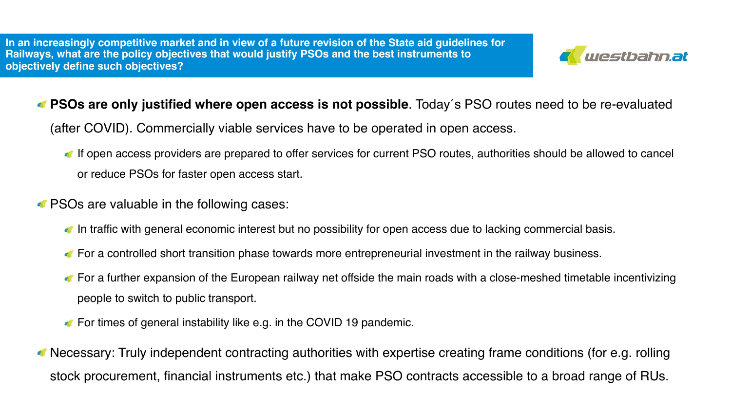**In an increasingly competitive market and in view of a future revision of the State aid guidelines for Railways, what are the policy objectives that would justify PSOs and the best instruments to objectively define such objectives?** 



## **PSOs are only justified where open access is not possible**. Today´s PSO routes need to be re-evaluated

(after COVID). Commercially viable services have to be operated in open access.

- If open access providers are prepared to offer services for current PSO routes, authorities should be allowed to cancel or reduce PSOs for faster open access start.
- **PSOs are valuable in the following cases:** 
	- In traffic with general economic interest but no possibility for open access due to lacking commercial basis.
	- **The For a controlled short transition phase towards more entrepreneurial investment in the railway business.**
	- For a further expansion of the European railway net offside the main roads with a close-meshed timetable incentivizing people to switch to public transport.
	- **For times of general instability like e.g. in the COVID 19 pandemic.**
- Necessary: Truly independent contracting authorities with expertise creating frame conditions (for e.g. rolling stock procurement, financial instruments etc.) that make PSO contracts accessible to a broad range of RUs.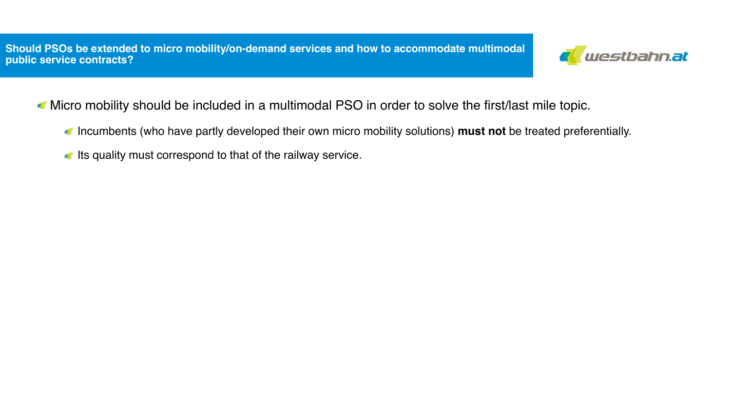**Should PSOs be extended to micro mobility/on-demand services and how to accommodate multimodal public service contracts?** 



- Micro mobility should be included in a multimodal PSO in order to solve the first/last mile topic.
	- Incumbents (who have partly developed their own micro mobility solutions) **must not** be treated preferentially.
	- Its quality must correspond to that of the railway service.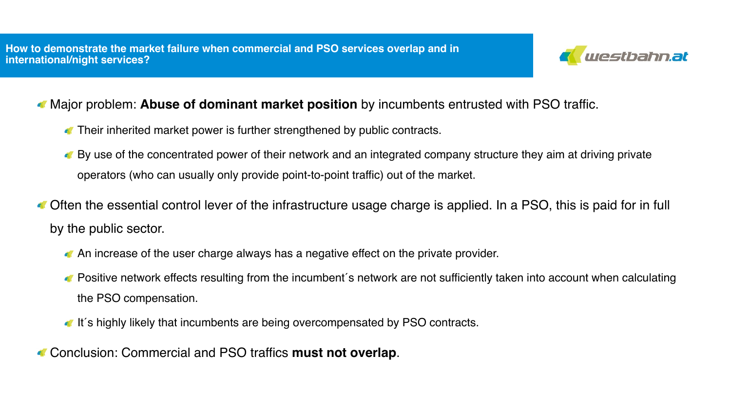

## Major problem: **Abuse of dominant market position** by incumbents entrusted with PSO traffic.

- Their inherited market power is further strengthened by public contracts.
- By use of the concentrated power of their network and an integrated company structure they aim at driving private operators (who can usually only provide point-to-point traffic) out of the market.
- Often the essential control lever of the infrastructure usage charge is applied. In a PSO, this is paid for in full by the public sector.
	- An increase of the user charge always has a negative effect on the private provider.
	- **C** Positive network effects resulting from the incumbent's network are not sufficiently taken into account when calculating the PSO compensation.
	- It's highly likely that incumbents are being overcompensated by PSO contracts.
- Conclusion: Commercial and PSO traffics **must not overlap**.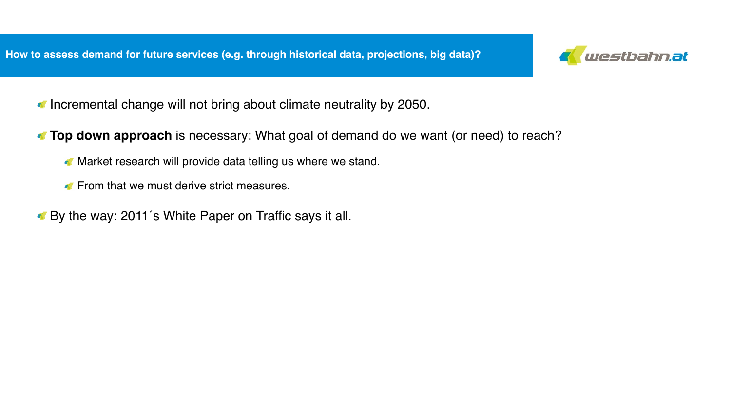

- Incremental change will not bring about climate neutrality by 2050.
- **Top down approach** is necessary: What goal of demand do we want (or need) to reach?
	- **Market research will provide data telling us where we stand.**
	- **From that we must derive strict measures.**
- By the way: 2011´s White Paper on Traffic says it all.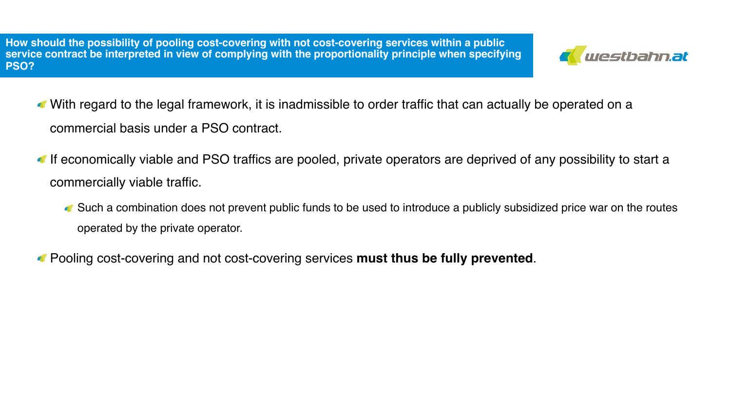**How should the possibility of pooling cost-covering with not cost-covering services within a public service contract be interpreted in view of complying with the proportionality principle when specifying PSO?** 



- With regard to the legal framework, it is inadmissible to order traffic that can actually be operated on a commercial basis under a PSO contract.
- If economically viable and PSO traffics are pooled, private operators are deprived of any possibility to start a commercially viable traffic.
	- Such a combination does not prevent public funds to be used to introduce a publicly subsidized price war on the routes operated by the private operator.
- Pooling cost-covering and not cost-covering services **must thus be fully prevented**.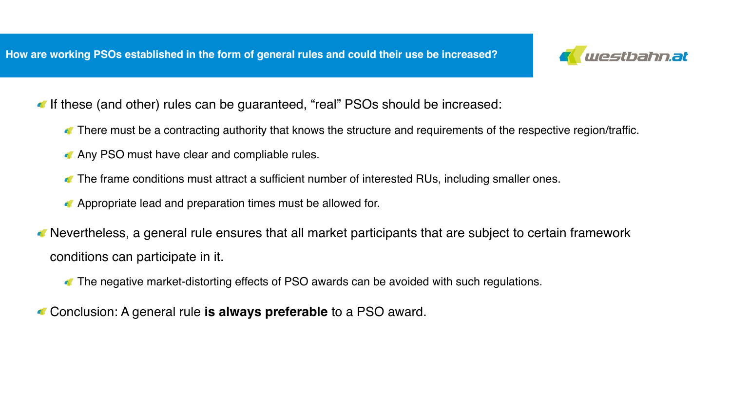

- If these (and other) rules can be guaranteed, "real" PSOs should be increased:
	- There must be a contracting authority that knows the structure and requirements of the respective region/traffic.
	- Any PSO must have clear and compliable rules.
	- The frame conditions must attract a sufficient number of interested RUs, including smaller ones.
	- **Appropriate lead and preparation times must be allowed for.**
- Nevertheless, a general rule ensures that all market participants that are subject to certain framework conditions can participate in it.
	- The negative market-distorting effects of PSO awards can be avoided with such regulations.
- Conclusion: A general rule **is always preferable** to a PSO award.